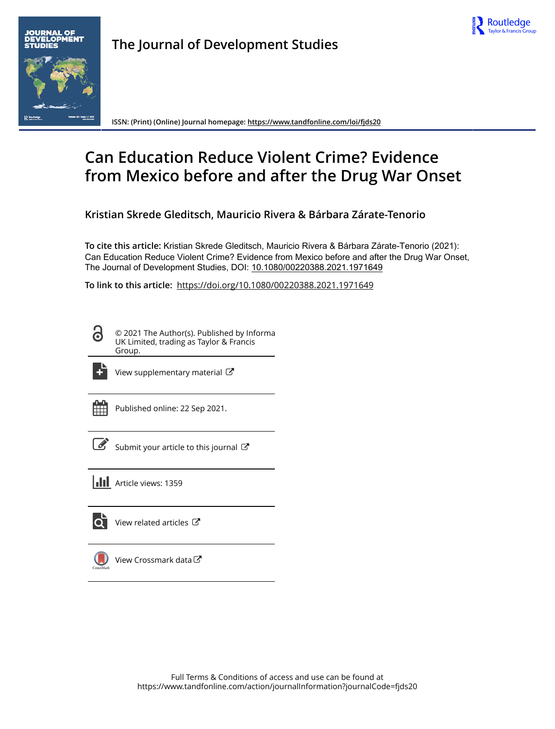



**The Journal of Development Studies**

**ISSN: (Print) (Online) Journal homepage:<https://www.tandfonline.com/loi/fjds20>**

# **Can Education Reduce Violent Crime? Evidence from Mexico before and after the Drug War Onset**

**Kristian Skrede Gleditsch, Mauricio Rivera & Bárbara Zárate-Tenorio**

**To cite this article:** Kristian Skrede Gleditsch, Mauricio Rivera & Bárbara Zárate-Tenorio (2021): Can Education Reduce Violent Crime? Evidence from Mexico before and after the Drug War Onset, The Journal of Development Studies, DOI: [10.1080/00220388.2021.1971649](https://www.tandfonline.com/action/showCitFormats?doi=10.1080/00220388.2021.1971649)

**To link to this article:** <https://doi.org/10.1080/00220388.2021.1971649>

© 2021 The Author(s). Published by Informa UK Limited, trading as Taylor & Francis Group.



[View supplementary material](https://www.tandfonline.com/doi/suppl/10.1080/00220388.2021.1971649)  $\mathbb{Z}$ 

Published online: 22 Sep 2021.

| ł |
|---|
|---|

[Submit your article to this journal](https://www.tandfonline.com/action/authorSubmission?journalCode=fjds20&show=instructions)  $\mathbb{Z}$ 



lo i [View related articles](https://www.tandfonline.com/doi/mlt/10.1080/00220388.2021.1971649)  $\mathbb{Z}$ 



[View Crossmark data](http://crossmark.crossref.org/dialog/?doi=10.1080/00220388.2021.1971649&domain=pdf&date_stamp=2021-09-22) C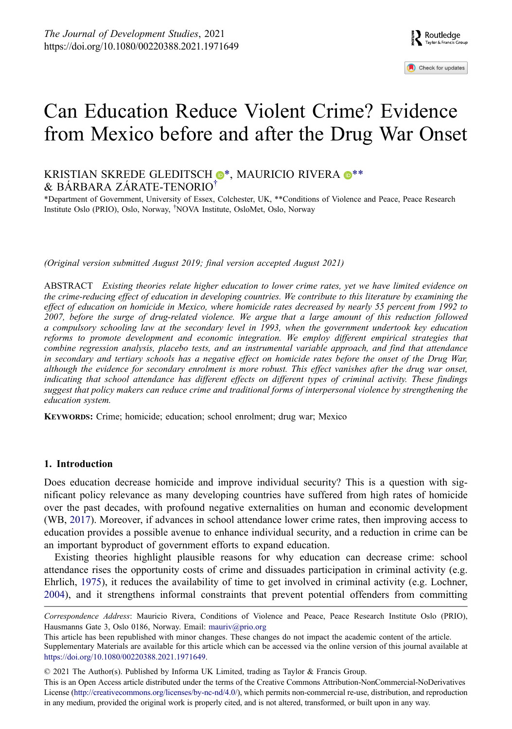Check for updates

# Can Education Reduce Violent Crime? Evidence from Mexico before and after the Drug War Onset

# KRISTI[A](http://orcid.org/0000-0003-1554-2681)N SKREDE GLEDITSCH  $\mathbb{O}^*$ , MAURICIO RIVERA  $\mathbb{O}^{**}$  $\mathbb{O}^{**}$  $\mathbb{O}^{**}$ & BÁRBARA ZÁRATE-TENORIO[†](#page-1-1)

<span id="page-1-1"></span><span id="page-1-0"></span>\*Department of Government, University of Essex, Colchester, UK, \*\*Conditions of Violence and Peace, Peace Research Institute Oslo (PRIO), Oslo, Norway, † NOVA Institute, OsloMet, Oslo, Norway

*(Original version submitted August 2019; final version accepted August 2021)*

ABSTRACT *Existing theories relate higher education to lower crime rates, yet we have limited evidence on the crime-reducing effect of education in developing countries. We contribute to this literature by examining the effect of education on homicide in Mexico, where homicide rates decreased by nearly 55 percent from 1992 to 2007, before the surge of drug-related violence. We argue that a large amount of this reduction followed a compulsory schooling law at the secondary level in 1993, when the government undertook key education reforms to promote development and economic integration. We employ different empirical strategies that combine regression analysis, placebo tests, and an instrumental variable approach, and find that attendance in secondary and tertiary schools has a negative effect on homicide rates before the onset of the Drug War, although the evidence for secondary enrolment is more robust. This effect vanishes after the drug war onset, indicating that school attendance has different effects on different types of criminal activity. These findings suggest that policy makers can reduce crime and traditional forms of interpersonal violence by strengthening the education system.*

**KEYWORDS:** Crime; homicide; education; school enrolment; drug war; Mexico

# **1. Introduction**

<span id="page-1-3"></span>Does education decrease homicide and improve individual security? This is a question with significant policy relevance as many developing countries have suffered from high rates of homicide over the past decades, with profound negative externalities on human and economic development (WB, [2017](#page-14-0)). Moreover, if advances in school attendance lower crime rates, then improving access to education provides a possible avenue to enhance individual security, and a reduction in crime can be an important byproduct of government efforts to expand education.

<span id="page-1-2"></span>Existing theories highlight plausible reasons for why education can decrease crime: school attendance rises the opportunity costs of crime and dissuades participation in criminal activity (e.g. Ehrlich, [1975\)](#page-13-0), it reduces the availability of time to get involved in criminal activity (e.g. Lochner, [2004\)](#page-14-1), and it strengthens informal constraints that prevent potential offenders from committing

© 2021 The Author(s). Published by Informa UK Limited, trading as Taylor & Francis Group.

This is an Open Access article distributed under the terms of the Creative Commons Attribution-NonCommercial-NoDerivatives License (http://creativecommons.org/licenses/by-nc-nd/4.0/), which permits non-commercial re-use, distribution, and reproduction in any medium, provided the original work is properly cited, and is not altered, transformed, or built upon in any way.

*Correspondence Address*: Mauricio Rivera, Conditions of Violence and Peace, Peace Research Institute Oslo (PRIO), Hausmanns Gate 3, Oslo 0186, Norway. Email: mauriv@prio.org

This article has been republished with minor changes. These changes do not impact the academic content of the article. Supplementary Materials are available for this article which can be accessed via the online version of this journal available at <https://doi.org/10.1080/00220388.2021.1971649>.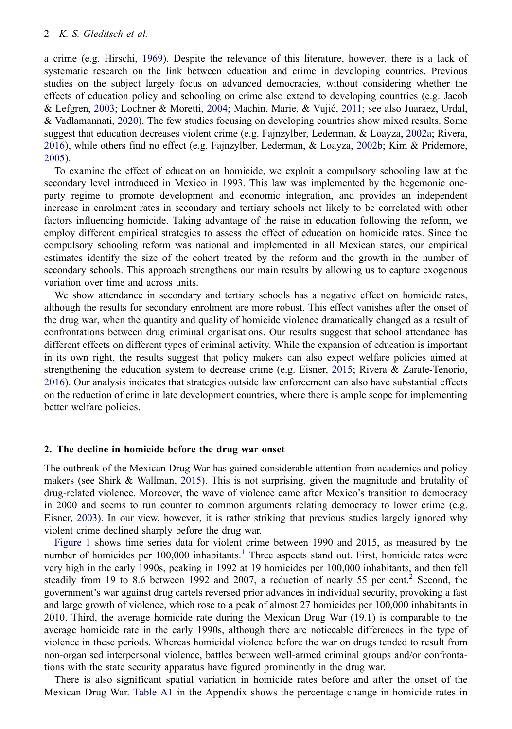<span id="page-2-5"></span><span id="page-2-4"></span>a crime (e.g. Hirschi, [1969](#page-14-2)). Despite the relevance of this literature, however, there is a lack of systematic research on the link between education and crime in developing countries. Previous studies on the subject largely focus on advanced democracies, without considering whether the effects of education policy and schooling on crime also extend to developing countries (e.g. Jacob & Lefgren, [2003;](#page-14-3) Lochner & Moretti, [2004](#page-14-4); Machin, Marie, & Vujić, [2011;](#page-14-5) see also Juaraez, Urdal, & Vadlamannati, [2020](#page-14-6)). The few studies focusing on developing countries show mixed results. Some suggest that education decreases violent crime (e.g. Fajnzylber, Lederman, & Loayza, [2002a;](#page-14-7) Rivera, [2016\)](#page-14-8), while others find no effect (e.g. Fajnzylber, Lederman, & Loayza, [2002b;](#page-14-9) Kim & Pridemore, [2005\)](#page-14-10).

<span id="page-2-6"></span><span id="page-2-3"></span><span id="page-2-2"></span>To examine the effect of education on homicide, we exploit a compulsory schooling law at the secondary level introduced in Mexico in 1993. This law was implemented by the hegemonic oneparty regime to promote development and economic integration, and provides an independent increase in enrolment rates in secondary and tertiary schools not likely to be correlated with other factors influencing homicide. Taking advantage of the raise in education following the reform, we employ different empirical strategies to assess the effect of education on homicide rates. Since the compulsory schooling reform was national and implemented in all Mexican states, our empirical estimates identify the size of the cohort treated by the reform and the growth in the number of secondary schools. This approach strengthens our main results by allowing us to capture exogenous variation over time and across units.

<span id="page-2-1"></span>We show attendance in secondary and tertiary schools has a negative effect on homicide rates, although the results for secondary enrolment are more robust. This effect vanishes after the onset of the drug war, when the quantity and quality of homicide violence dramatically changed as a result of confrontations between drug criminal organisations. Our results suggest that school attendance has different effects on different types of criminal activity. While the expansion of education is important in its own right, the results suggest that policy makers can also expect welfare policies aimed at strengthening the education system to decrease crime (e.g. Eisner, [2015;](#page-13-1) Rivera & Zarate-Tenorio, [2016\)](#page-14-11). Our analysis indicates that strategies outside law enforcement can also have substantial effects on the reduction of crime in late development countries, where there is ample scope for implementing better welfare policies.

## **2. The decline in homicide before the drug war onset**

<span id="page-2-7"></span>The outbreak of the Mexican Drug War has gained considerable attention from academics and policy makers (see Shirk & Wallman, [2015](#page-14-12)). This is not surprising, given the magnitude and brutality of drug-related violence. Moreover, the wave of violence came after Mexico's transition to democracy in 2000 and seems to run counter to common arguments relating democracy to lower crime (e.g. Eisner, [2003\)](#page-13-2). In our view, however, it is rather striking that previous studies largely ignored why violent crime declined sharply before the drug war.

<span id="page-2-0"></span>[Figure 1](#page-3-0) shows time series data for violent crime between 1990 and 2015, as measured by the number of homicides per [1](#page-12-0)00,000 inhabitants.<sup>1</sup> Three aspects stand out. First, homicide rates were very high in the early 1990s, peaking in 1992 at 19 homicides per 100,000 inhabitants, and then fell steadily from 19 to 8.6 between 199[2](#page-12-1) and 2007, a reduction of nearly 55 per cent.<sup>2</sup> Second, the government's war against drug cartels reversed prior advances in individual security, provoking a fast and large growth of violence, which rose to a peak of almost 27 homicides per 100,000 inhabitants in 2010. Third, the average homicide rate during the Mexican Drug War (19.1) is comparable to the average homicide rate in the early 1990s, although there are noticeable differences in the type of violence in these periods. Whereas homicidal violence before the war on drugs tended to result from non-organised interpersonal violence, battles between well-armed criminal groups and/or confrontations with the state security apparatus have figured prominently in the drug war.

There is also significant spatial variation in homicide rates before and after the onset of the Mexican Drug War. [Table A1](#page-15-0) in the Appendix shows the percentage change in homicide rates in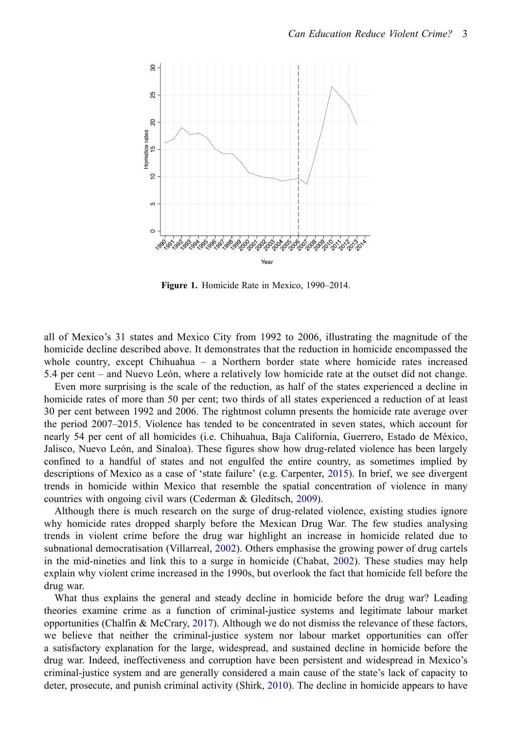

**Figure 1.** Homicide Rate in Mexico, 1990–2014.

<span id="page-3-0"></span>all of Mexico's 31 states and Mexico City from 1992 to 2006, illustrating the magnitude of the homicide decline described above. It demonstrates that the reduction in homicide encompassed the whole country, except Chihuahua – a Northern border state where homicide rates increased 5.4 per cent – and Nuevo León, where a relatively low homicide rate at the outset did not change.

Even more surprising is the scale of the reduction, as half of the states experienced a decline in homicide rates of more than 50 per cent; two thirds of all states experienced a reduction of at least 30 per cent between 1992 and 2006. The rightmost column presents the homicide rate average over the period 2007–2015. Violence has tended to be concentrated in seven states, which account for nearly 54 per cent of all homicides (i.e. Chihuahua, Baja California, Guerrero, Estado de México, Jalisco, Nuevo León, and Sinaloa). These figures show how drug-related violence has been largely confined to a handful of states and not engulfed the entire country, as sometimes implied by descriptions of Mexico as a case of 'state failure' (e.g. Carpenter, [2015](#page-13-3)). In brief, we see divergent trends in homicide within Mexico that resemble the spatial concentration of violence in many countries with ongoing civil wars (Cederman & Gleditsch, [2009\)](#page-13-4).

<span id="page-3-6"></span><span id="page-3-2"></span><span id="page-3-1"></span>Although there is much research on the surge of drug-related violence, existing studies ignore why homicide rates dropped sharply before the Mexican Drug War. The few studies analysing trends in violent crime before the drug war highlight an increase in homicide related due to subnational democratisation (Villarreal, [2002\)](#page-14-13). Others emphasise the growing power of drug cartels in the mid-nineties and link this to a surge in homicide (Chabat, [2002\)](#page-13-5). These studies may help explain why violent crime increased in the 1990s, but overlook the fact that homicide fell before the drug war.

<span id="page-3-5"></span><span id="page-3-4"></span><span id="page-3-3"></span>What thus explains the general and steady decline in homicide before the drug war? Leading theories examine crime as a function of criminal-justice systems and legitimate labour market opportunities (Chalfin & McCrary, [2017\)](#page-13-6). Although we do not dismiss the relevance of these factors, we believe that neither the criminal-justice system nor labour market opportunities can offer a satisfactory explanation for the large, widespread, and sustained decline in homicide before the drug war. Indeed, ineffectiveness and corruption have been persistent and widespread in Mexico's criminal-justice system and are generally considered a main cause of the state's lack of capacity to deter, prosecute, and punish criminal activity (Shirk, [2010\)](#page-14-14). The decline in homicide appears to have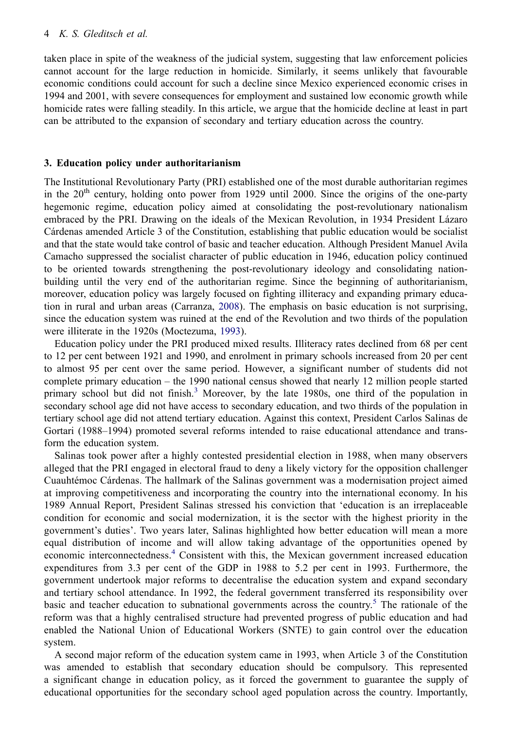taken place in spite of the weakness of the judicial system, suggesting that law enforcement policies cannot account for the large reduction in homicide. Similarly, it seems unlikely that favourable economic conditions could account for such a decline since Mexico experienced economic crises in 1994 and 2001, with severe consequences for employment and sustained low economic growth while homicide rates were falling steadily. In this article, we argue that the homicide decline at least in part can be attributed to the expansion of secondary and tertiary education across the country.

## **3. Education policy under authoritarianism**

The Institutional Revolutionary Party (PRI) established one of the most durable authoritarian regimes in the  $20<sup>th</sup>$  century, holding onto power from 1929 until 2000. Since the origins of the one-party hegemonic regime, education policy aimed at consolidating the post-revolutionary nationalism embraced by the PRI. Drawing on the ideals of the Mexican Revolution, in 1934 President Lázaro Cárdenas amended Article 3 of the Constitution, establishing that public education would be socialist and that the state would take control of basic and teacher education. Although President Manuel Avila Camacho suppressed the socialist character of public education in 1946, education policy continued to be oriented towards strengthening the post-revolutionary ideology and consolidating nationbuilding until the very end of the authoritarian regime. Since the beginning of authoritarianism, moreover, education policy was largely focused on fighting illiteracy and expanding primary education in rural and urban areas (Carranza, [2008\)](#page-13-7). The emphasis on basic education is not surprising, since the education system was ruined at the end of the Revolution and two thirds of the population were illiterate in the 1920s (Moctezuma, [1993\)](#page-14-15).

<span id="page-4-1"></span><span id="page-4-0"></span>Education policy under the PRI produced mixed results. Illiteracy rates declined from 68 per cent to 12 per cent between 1921 and 1990, and enrolment in primary schools increased from 20 per cent to almost 95 per cent over the same period. However, a significant number of students did not complete primary education – the 1990 national census showed that nearly 12 million people started primary school but did not finish.<sup>3</sup> Moreover, by the late 1980s, one third of the population in secondary school age did not have access to secondary education, and two thirds of the population in tertiary school age did not attend tertiary education. Against this context, President Carlos Salinas de Gortari (1988–1994) promoted several reforms intended to raise educational attendance and transform the education system.

Salinas took power after a highly contested presidential election in 1988, when many observers alleged that the PRI engaged in electoral fraud to deny a likely victory for the opposition challenger Cuauhtémoc Cárdenas. The hallmark of the Salinas government was a modernisation project aimed at improving competitiveness and incorporating the country into the international economy. In his 1989 Annual Report, President Salinas stressed his conviction that 'education is an irreplaceable condition for economic and social modernization, it is the sector with the highest priority in the government's duties'. Two years later, Salinas highlighted how better education will mean a more equal distribution of income and will allow taking advantage of the opportunities opened by economic interconnectedness.<sup>[4](#page-12-3)</sup> Consistent with this, the Mexican government increased education expenditures from 3.3 per cent of the GDP in 1988 to 5.2 per cent in 1993. Furthermore, the government undertook major reforms to decentralise the education system and expand secondary and tertiary school attendance. In 1992, the federal government transferred its responsibility over basic and teacher education to subnational governments across the country. [5](#page-12-4) The rationale of the reform was that a highly centralised structure had prevented progress of public education and had enabled the National Union of Educational Workers (SNTE) to gain control over the education system.

A second major reform of the education system came in 1993, when Article 3 of the Constitution was amended to establish that secondary education should be compulsory. This represented a significant change in education policy, as it forced the government to guarantee the supply of educational opportunities for the secondary school aged population across the country. Importantly,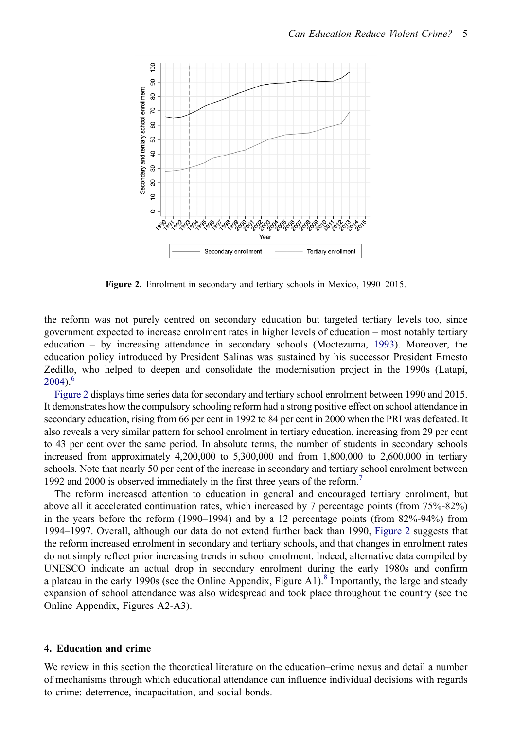

**Figure 2.** Enrolment in secondary and tertiary schools in Mexico, 1990–2015.

<span id="page-5-0"></span>the reform was not purely centred on secondary education but targeted tertiary levels too, since government expected to increase enrolment rates in higher levels of education – most notably tertiary education – by increasing attendance in secondary schools (Moctezuma, [1993](#page-14-15)). Moreover, the education policy introduced by President Salinas was sustained by his successor President Ernesto Zedillo, who helped to deepen and consolidate the modernisation project in the 1990s (Latapí,  $2004$ .<sup>[6](#page-12-5)</sup>

<span id="page-5-1"></span>[Figure 2](#page-5-0) displays time series data for secondary and tertiary school enrolment between 1990 and 2015. It demonstrates how the compulsory schooling reform had a strong positive effect on school attendance in secondary education, rising from 66 per cent in 1992 to 84 per cent in 2000 when the PRI was defeated. It also reveals a very similar pattern for school enrolment in tertiary education, increasing from 29 per cent to 43 per cent over the same period. In absolute terms, the number of students in secondary schools increased from approximately 4,200,000 to 5,300,000 and from 1,800,000 to 2,600,000 in tertiary schools. Note that nearly 50 per cent of the increase in secondary and tertiary school enrolment between 1992 and 2000 is observed immediately in the first three years of the reform.<sup>[7](#page-12-6)</sup>

The reform increased attention to education in general and encouraged tertiary enrolment, but above all it accelerated continuation rates, which increased by 7 percentage points (from 75%-82%) in the years before the reform (1990–1994) and by a 12 percentage points (from 82%-94%) from 1994–1997. Overall, although our data do not extend further back than 1990, [Figure 2](#page-5-0) suggests that the reform increased enrolment in secondary and tertiary schools, and that changes in enrolment rates do not simply reflect prior increasing trends in school enrolment. Indeed, alternative data compiled by UNESCO indicate an actual drop in secondary enrolment during the early 1980s and confirm a plateau in the early 1990s (see the Online Appendix, Figure A1).<sup>8</sup> Importantly, the large and steady expansion of school attendance was also widespread and took place throughout the country (see the Online Appendix, Figures A2-A3).

### **4. Education and crime**

We review in this section the theoretical literature on the education–crime nexus and detail a number of mechanisms through which educational attendance can influence individual decisions with regards to crime: deterrence, incapacitation, and social bonds.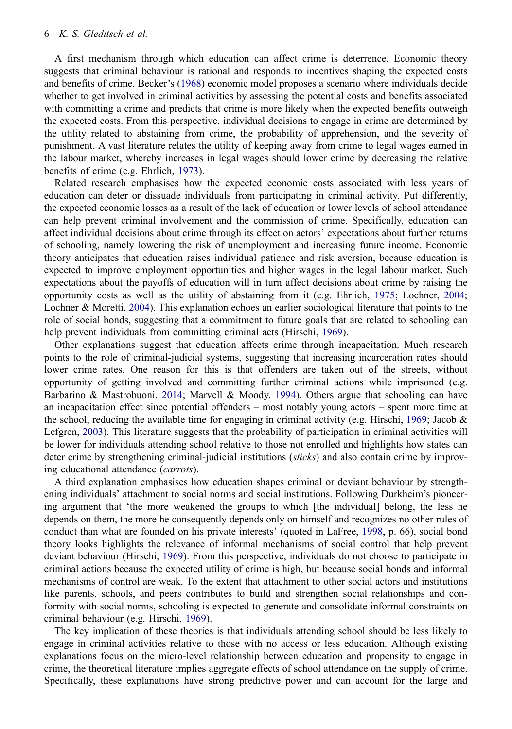#### 6 *K. S. Gleditsch et al.*

<span id="page-6-1"></span>A first mechanism through which education can affect crime is deterrence. Economic theory suggests that criminal behaviour is rational and responds to incentives shaping the expected costs and benefits of crime. Becker's [\(1968](#page-13-8)) economic model proposes a scenario where individuals decide whether to get involved in criminal activities by assessing the potential costs and benefits associated with committing a crime and predicts that crime is more likely when the expected benefits outweigh the expected costs. From this perspective, individual decisions to engage in crime are determined by the utility related to abstaining from crime, the probability of apprehension, and the severity of punishment. A vast literature relates the utility of keeping away from crime to legal wages earned in the labour market, whereby increases in legal wages should lower crime by decreasing the relative benefits of crime (e.g. Ehrlich, [1973\)](#page-13-9).

<span id="page-6-2"></span>Related research emphasises how the expected economic costs associated with less years of education can deter or dissuade individuals from participating in criminal activity. Put differently, the expected economic losses as a result of the lack of education or lower levels of school attendance can help prevent criminal involvement and the commission of crime. Specifically, education can affect individual decisions about crime through its effect on actors' expectations about further returns of schooling, namely lowering the risk of unemployment and increasing future income. Economic theory anticipates that education raises individual patience and risk aversion, because education is expected to improve employment opportunities and higher wages in the legal labour market. Such expectations about the payoffs of education will in turn affect decisions about crime by raising the opportunity costs as well as the utility of abstaining from it (e.g. Ehrlich, [1975;](#page-13-0) Lochner, [2004;](#page-14-1) Lochner & Moretti, [2004](#page-14-4)). This explanation echoes an earlier sociological literature that points to the role of social bonds, suggesting that a commitment to future goals that are related to schooling can help prevent individuals from committing criminal acts (Hirschi, [1969](#page-14-2)).

<span id="page-6-0"></span>Other explanations suggest that education affects crime through incapacitation. Much research points to the role of criminal-judicial systems, suggesting that increasing incarceration rates should lower crime rates. One reason for this is that offenders are taken out of the streets, without opportunity of getting involved and committing further criminal actions while imprisoned (e.g. Barbarino & Mastrobuoni, [2014](#page-13-10); Marvell & Moody, [1994](#page-14-17)). Others argue that schooling can have an incapacitation effect since potential offenders – most notably young actors – spent more time at the school, reducing the available time for engaging in criminal activity (e.g. Hirschi, [1969;](#page-14-2) Jacob  $\&$ Lefgren, [2003\)](#page-14-3). This literature suggests that the probability of participation in criminal activities will be lower for individuals attending school relative to those not enrolled and highlights how states can deter crime by strengthening criminal-judicial institutions (*sticks*) and also contain crime by improving educational attendance (*carrots*).

<span id="page-6-3"></span>A third explanation emphasises how education shapes criminal or deviant behaviour by strengthening individuals' attachment to social norms and social institutions. Following Durkheim's pioneering argument that 'the more weakened the groups to which [the individual] belong, the less he depends on them, the more he consequently depends only on himself and recognizes no other rules of conduct than what are founded on his private interests' (quoted in LaFree, [1998,](#page-14-18) p. 66), social bond theory looks highlights the relevance of informal mechanisms of social control that help prevent deviant behaviour (Hirschi, [1969\)](#page-14-2). From this perspective, individuals do not choose to participate in criminal actions because the expected utility of crime is high, but because social bonds and informal mechanisms of control are weak. To the extent that attachment to other social actors and institutions like parents, schools, and peers contributes to build and strengthen social relationships and conformity with social norms, schooling is expected to generate and consolidate informal constraints on criminal behaviour (e.g. Hirschi, [1969\)](#page-14-2).

The key implication of these theories is that individuals attending school should be less likely to engage in criminal activities relative to those with no access or less education. Although existing explanations focus on the micro-level relationship between education and propensity to engage in crime, the theoretical literature implies aggregate effects of school attendance on the supply of crime. Specifically, these explanations have strong predictive power and can account for the large and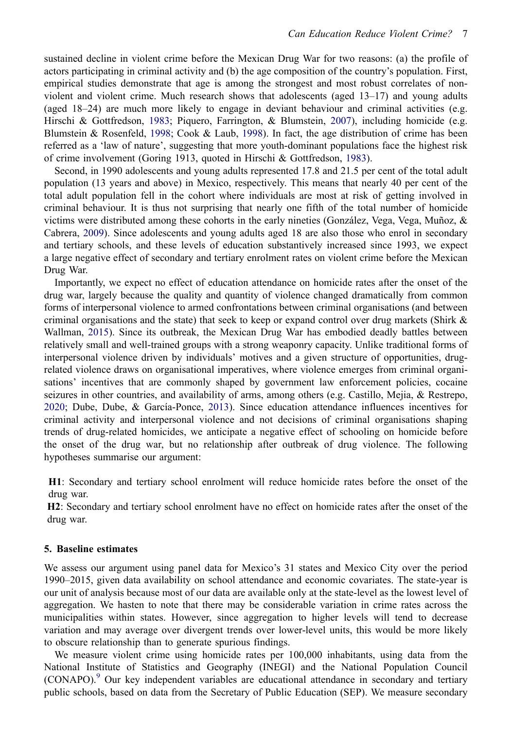sustained decline in violent crime before the Mexican Drug War for two reasons: (a) the profile of actors participating in criminal activity and (b) the age composition of the country's population. First, empirical studies demonstrate that age is among the strongest and most robust correlates of nonviolent and violent crime. Much research shows that adolescents (aged 13–17) and young adults (aged 18–24) are much more likely to engage in deviant behaviour and criminal activities (e.g. Hirschi & Gottfredson, [1983;](#page-14-19) Piquero, Farrington, & Blumstein, [2007\)](#page-14-20), including homicide (e.g. Blumstein & Rosenfeld, [1998;](#page-13-11) Cook & Laub, [1998](#page-13-12)). In fact, the age distribution of crime has been referred as a 'law of nature', suggesting that more youth-dominant populations face the highest risk of crime involvement (Goring 1913, quoted in Hirschi & Gottfredson, [1983](#page-14-19)).

<span id="page-7-5"></span><span id="page-7-4"></span><span id="page-7-0"></span>Second, in 1990 adolescents and young adults represented 17.8 and 21.5 per cent of the total adult population (13 years and above) in Mexico, respectively. This means that nearly 40 per cent of the total adult population fell in the cohort where individuals are most at risk of getting involved in criminal behaviour. It is thus not surprising that nearly one fifth of the total number of homicide victims were distributed among these cohorts in the early nineties (González, Vega, Vega, Muñoz,  $\&$ Cabrera, [2009](#page-14-21)). Since adolescents and young adults aged 18 are also those who enrol in secondary and tertiary schools, and these levels of education substantively increased since 1993, we expect a large negative effect of secondary and tertiary enrolment rates on violent crime before the Mexican Drug War.

<span id="page-7-3"></span>Importantly, we expect no effect of education attendance on homicide rates after the onset of the drug war, largely because the quality and quantity of violence changed dramatically from common forms of interpersonal violence to armed confrontations between criminal organisations (and between criminal organisations and the state) that seek to keep or expand control over drug markets (Shirk  $\&$ Wallman, [2015\)](#page-14-12). Since its outbreak, the Mexican Drug War has embodied deadly battles between relatively small and well-trained groups with a strong weaponry capacity. Unlike traditional forms of interpersonal violence driven by individuals' motives and a given structure of opportunities, drugrelated violence draws on organisational imperatives, where violence emerges from criminal organisations' incentives that are commonly shaped by government law enforcement policies, cocaine seizures in other countries, and availability of arms, among others (e.g. Castillo, Mejia, & Restrepo, [2020;](#page-13-13) Dube, Dube, & García-Ponce, [2013\)](#page-13-14). Since education attendance influences incentives for criminal activity and interpersonal violence and not decisions of criminal organisations shaping trends of drug-related homicides, we anticipate a negative effect of schooling on homicide before the onset of the drug war, but no relationship after outbreak of drug violence. The following hypotheses summarise our argument:

<span id="page-7-2"></span><span id="page-7-1"></span>**H1**: Secondary and tertiary school enrolment will reduce homicide rates before the onset of the drug war.

**H2**: Secondary and tertiary school enrolment have no effect on homicide rates after the onset of the drug war.

# **5. Baseline estimates**

We assess our argument using panel data for Mexico's 31 states and Mexico City over the period 1990–2015, given data availability on school attendance and economic covariates. The state-year is our unit of analysis because most of our data are available only at the state-level as the lowest level of aggregation. We hasten to note that there may be considerable variation in crime rates across the municipalities within states. However, since aggregation to higher levels will tend to decrease variation and may average over divergent trends over lower-level units, this would be more likely to obscure relationship than to generate spurious findings.

We measure violent crime using homicide rates per 100,000 inhabitants, using data from the National Institute of Statistics and Geography (INEGI) and the National Population Council  $(CONapo)<sup>9</sup>$  Our key independent variables are educational attendance in secondary and tertiary public schools, based on data from the Secretary of Public Education (SEP). We measure secondary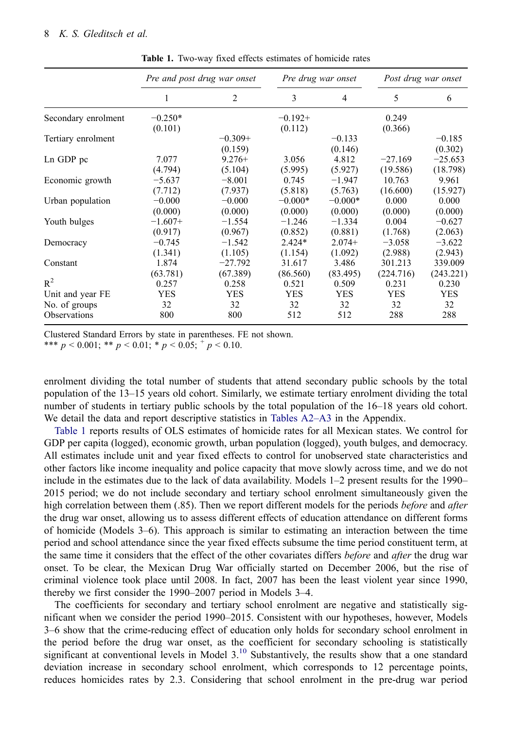<span id="page-8-0"></span>

|                     | Pre and post drug war onset |            | Pre drug war onset |            | Post drug war onset |            |
|---------------------|-----------------------------|------------|--------------------|------------|---------------------|------------|
|                     |                             | 2          | 3                  | 4          | 5                   | 6          |
| Secondary enrolment | $-0.250*$                   |            | $-0.192+$          |            | 0.249               |            |
|                     | (0.101)                     |            | (0.112)            |            | (0.366)             |            |
| Tertiary enrolment  |                             | $-0.309+$  |                    | $-0.133$   |                     | $-0.185$   |
|                     |                             | (0.159)    |                    | (0.146)    |                     | (0.302)    |
| Ln GDP pc           | 7.077                       | $9.276+$   | 3.056              | 4.812      | $-27.169$           | $-25.653$  |
|                     | (4.794)                     | (5.104)    | (5.995)            | (5.927)    | (19.586)            | (18.798)   |
| Economic growth     | $-5.637$                    | $-8.001$   | 0.745              | $-1.947$   | 10.763              | 9.961      |
|                     | (7.712)                     | (7.937)    | (5.818)            | (5.763)    | (16.600)            | (15.927)   |
| Urban population    | $-0.000$                    | $-0.000$   | $-0.000*$          | $-0.000*$  | 0.000               | 0.000      |
|                     | (0.000)                     | (0.000)    | (0.000)            | (0.000)    | (0.000)             | (0.000)    |
| Youth bulges        | $-1.607+$                   | $-1.554$   | $-1.246$           | $-1.334$   | 0.004               | $-0.627$   |
|                     | (0.917)                     | (0.967)    | (0.852)            | (0.881)    | (1.768)             | (2.063)    |
| Democracy           | $-0.745$                    | $-1.542$   | $2.424*$           | $2.074+$   | $-3.058$            | $-3.622$   |
|                     | (1.341)                     | (1.105)    | (1.154)            | (1.092)    | (2.988)             | (2.943)    |
| Constant            | 1.874                       | $-27.792$  | 31.617             | 3.486      | 301.213             | 339.009    |
|                     | (63.781)                    | (67.389)   | (86.560)           | (83.495)   | (224.716)           | (243.221)  |
| $R^2$               | 0.257                       | 0.258      | 0.521              | 0.509      | 0.231               | 0.230      |
| Unit and year FE    | <b>YES</b>                  | <b>YES</b> | <b>YES</b>         | <b>YES</b> | <b>YES</b>          | <b>YES</b> |
| No. of groups       | 32                          | 32         | 32                 | 32         | 32                  | 32         |
| Observations        | 800                         | 800        | 512                | 512        | 288                 | 288        |

**Table 1.** Two-way fixed effects estimates of homicide rates

Clustered Standard Errors by state in parentheses. FE not shown.

\*\*\*  $p < 0.001$ ; \*\*  $p < 0.01$ ; \*  $p < 0.05$ ;  $p < 0.10$ .

enrolment dividing the total number of students that attend secondary public schools by the total population of the 13–15 years old cohort. Similarly, we estimate tertiary enrolment dividing the total number of students in tertiary public schools by the total population of the 16–18 years old cohort. We detail the data and report descriptive statistics in [Tables A2–A3](#page-15-1) in the Appendix.

[Table 1](#page-8-0) reports results of OLS estimates of homicide rates for all Mexican states. We control for GDP per capita (logged), economic growth, urban population (logged), youth bulges, and democracy. All estimates include unit and year fixed effects to control for unobserved state characteristics and other factors like income inequality and police capacity that move slowly across time, and we do not include in the estimates due to the lack of data availability. Models 1–2 present results for the 1990– 2015 period; we do not include secondary and tertiary school enrolment simultaneously given the high correlation between them (.85). Then we report different models for the periods *before* and *after*  the drug war onset, allowing us to assess different effects of education attendance on different forms of homicide (Models 3–6). This approach is similar to estimating an interaction between the time period and school attendance since the year fixed effects subsume the time period constituent term, at the same time it considers that the effect of the other covariates differs *before* and *after* the drug war onset. To be clear, the Mexican Drug War officially started on December 2006, but the rise of criminal violence took place until 2008. In fact, 2007 has been the least violent year since 1990, thereby we first consider the 1990–2007 period in Models 3–4.

The coefficients for secondary and tertiary school enrolment are negative and statistically significant when we consider the period 1990–2015. Consistent with our hypotheses, however, Models 3–6 show that the crime-reducing effect of education only holds for secondary school enrolment in the period before the drug war onset, as the coefficient for secondary schooling is statistically significant at conventional levels in Model  $3<sup>10</sup>$  Substantively, the results show that a one standard deviation increase in secondary school enrolment, which corresponds to 12 percentage points, reduces homicides rates by 2.3. Considering that school enrolment in the pre-drug war period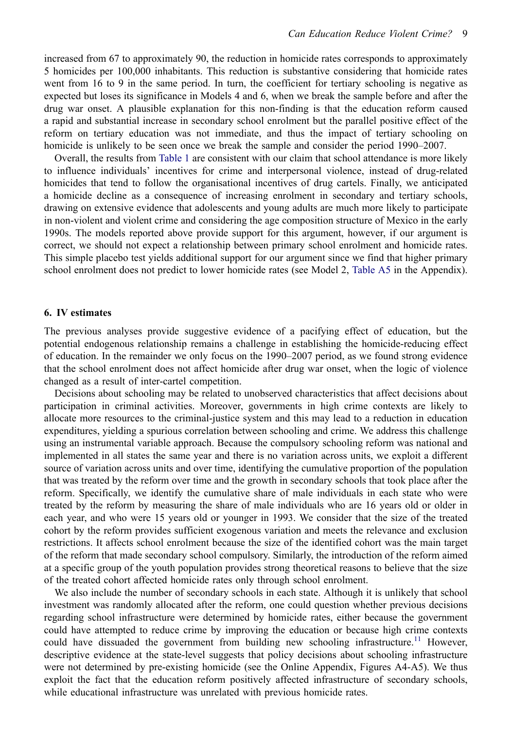increased from 67 to approximately 90, the reduction in homicide rates corresponds to approximately 5 homicides per 100,000 inhabitants. This reduction is substantive considering that homicide rates went from 16 to 9 in the same period. In turn, the coefficient for tertiary schooling is negative as expected but loses its significance in Models 4 and 6, when we break the sample before and after the drug war onset. A plausible explanation for this non-finding is that the education reform caused a rapid and substantial increase in secondary school enrolment but the parallel positive effect of the reform on tertiary education was not immediate, and thus the impact of tertiary schooling on homicide is unlikely to be seen once we break the sample and consider the period 1990–2007.

Overall, the results from [Table 1](#page-8-0) are consistent with our claim that school attendance is more likely to influence individuals' incentives for crime and interpersonal violence, instead of drug-related homicides that tend to follow the organisational incentives of drug cartels. Finally, we anticipated a homicide decline as a consequence of increasing enrolment in secondary and tertiary schools, drawing on extensive evidence that adolescents and young adults are much more likely to participate in non-violent and violent crime and considering the age composition structure of Mexico in the early 1990s. The models reported above provide support for this argument, however, if our argument is correct, we should not expect a relationship between primary school enrolment and homicide rates. This simple placebo test yields additional support for our argument since we find that higher primary school enrolment does not predict to lower homicide rates (see Model 2, [Table A5](#page-17-0) in the Appendix).

## **6. IV estimates**

The previous analyses provide suggestive evidence of a pacifying effect of education, but the potential endogenous relationship remains a challenge in establishing the homicide-reducing effect of education. In the remainder we only focus on the 1990–2007 period, as we found strong evidence that the school enrolment does not affect homicide after drug war onset, when the logic of violence changed as a result of inter-cartel competition.

Decisions about schooling may be related to unobserved characteristics that affect decisions about participation in criminal activities. Moreover, governments in high crime contexts are likely to allocate more resources to the criminal-justice system and this may lead to a reduction in education expenditures, yielding a spurious correlation between schooling and crime. We address this challenge using an instrumental variable approach. Because the compulsory schooling reform was national and implemented in all states the same year and there is no variation across units, we exploit a different source of variation across units and over time, identifying the cumulative proportion of the population that was treated by the reform over time and the growth in secondary schools that took place after the reform. Specifically, we identify the cumulative share of male individuals in each state who were treated by the reform by measuring the share of male individuals who are 16 years old or older in each year, and who were 15 years old or younger in 1993. We consider that the size of the treated cohort by the reform provides sufficient exogenous variation and meets the relevance and exclusion restrictions. It affects school enrolment because the size of the identified cohort was the main target of the reform that made secondary school compulsory. Similarly, the introduction of the reform aimed at a specific group of the youth population provides strong theoretical reasons to believe that the size of the treated cohort affected homicide rates only through school enrolment.

We also include the number of secondary schools in each state. Although it is unlikely that school investment was randomly allocated after the reform, one could question whether previous decisions regarding school infrastructure were determined by homicide rates, either because the government could have attempted to reduce crime by improving the education or because high crime contexts could have dissuaded the government from building new schooling infrastructure.<sup>[11](#page-12-10)</sup> However, descriptive evidence at the state-level suggests that policy decisions about schooling infrastructure were not determined by pre-existing homicide (see the Online Appendix, Figures A4-A5). We thus exploit the fact that the education reform positively affected infrastructure of secondary schools, while educational infrastructure was unrelated with previous homicide rates.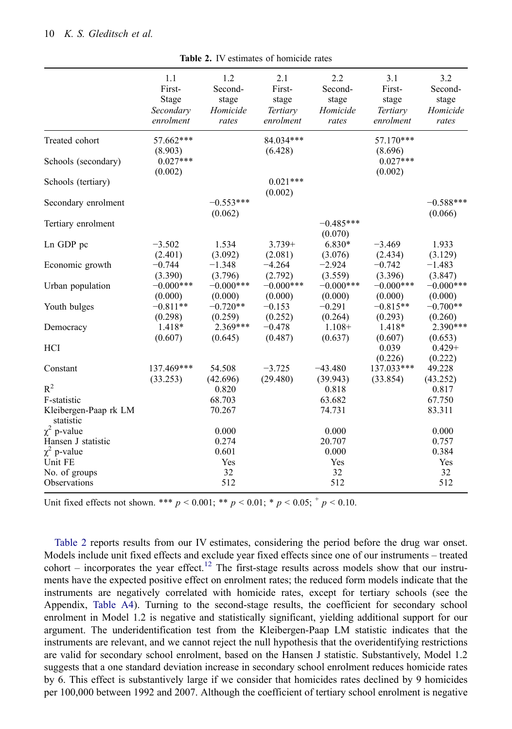<span id="page-10-0"></span>

|                                    | 1.1         | 1.2         | 2.1         | 2.2         | 3.1         | 3.2         |
|------------------------------------|-------------|-------------|-------------|-------------|-------------|-------------|
|                                    | First-      | Second-     | First-      | Second-     | First-      | Second-     |
|                                    | Stage       | stage       | stage       | stage       | stage       | stage       |
|                                    | Secondary   | Homicide    | Tertiary    | Homicide    | Tertiary    | Homicide    |
|                                    | enrolment   | rates       | enrolment   | rates       | enrolment   | rates       |
| Treated cohort                     | 57.662***   |             | 84.034***   |             | 57.170***   |             |
|                                    | (8.903)     |             | (6.428)     |             | (8.696)     |             |
| Schools (secondary)                | $0.027***$  |             |             |             | $0.027***$  |             |
|                                    | (0.002)     |             |             |             | (0.002)     |             |
| Schools (tertiary)                 |             |             | $0.021***$  |             |             |             |
|                                    |             |             | (0.002)     |             |             |             |
| Secondary enrolment                |             | $-0.553***$ |             |             |             | $-0.588***$ |
|                                    |             | (0.062)     |             |             |             | (0.066)     |
| Tertiary enrolment                 |             |             |             | $-0.485***$ |             |             |
|                                    |             |             |             | (0.070)     |             |             |
| Ln GDP pc                          | $-3.502$    | 1.534       | $3.739+$    | 6.830*      | $-3.469$    | 1.933       |
|                                    | (2.401)     | (3.092)     | (2.081)     | (3.076)     | (2.434)     | (3.129)     |
| Economic growth                    | $-0.744$    | $-1.348$    | $-4.264$    | $-2.924$    | $-0.742$    | $-1.483$    |
|                                    | (3.390)     | (3.796)     | (2.792)     | (3.559)     | (3.396)     | (3.847)     |
| Urban population                   | $-0.000***$ | $-0.000***$ | $-0.000***$ | $-0.000***$ | $-0.000***$ | $-0.000***$ |
|                                    | (0.000)     | (0.000)     | (0.000)     | (0.000)     | (0.000)     | (0.000)     |
| Youth bulges                       | $-0.811**$  | $-0.720**$  | $-0.153$    | $-0.291$    | $-0.815**$  | $-0.700**$  |
|                                    | (0.298)     | (0.259)     | (0.252)     | (0.264)     | (0.293)     | (0.260)     |
| Democracy                          | 1.418*      | 2.369***    | $-0.478$    | $1.108+$    | 1.418*      | 2.390***    |
|                                    | (0.607)     | (0.645)     | (0.487)     | (0.637)     | (0.607)     | (0.653)     |
| <b>HCI</b>                         |             |             |             |             | 0.039       | $0.429 +$   |
|                                    |             |             |             |             | (0.226)     | (0.222)     |
| Constant                           | 137.469***  | 54.508      | $-3.725$    | $-43.480$   | 137.033***  | 49.228      |
|                                    | (33.253)    | (42.696)    | (29.480)    | (39.943)    | (33.854)    | (43.252)    |
| $R^2$                              |             | 0.820       |             | 0.818       |             | 0.817       |
| F-statistic                        |             | 68.703      |             | 63.682      |             | 67.750      |
| Kleibergen-Paap rk LM<br>statistic |             | 70.267      |             | 74.731      |             | 83.311      |
| $\chi^2$ p-value                   |             | 0.000       |             | 0.000       |             | 0.000       |
| Hansen J statistic                 |             | 0.274       |             | 20.707      |             | 0.757       |
| $\chi^2$ p-value                   |             | 0.601       |             | 0.000       |             | 0.384       |
| Unit FE                            |             | Yes         |             | Yes         |             | Yes         |
| No. of groups                      |             | 32          |             | 32          |             | 32          |
| Observations                       |             | 512         |             | 512         |             | 512         |
|                                    |             |             |             |             |             |             |

**Table 2.** IV estimates of homicide rates

Unit fixed effects not shown. \*\*\*  $p < 0.001$ ; \*\*  $p < 0.01$ ; \*  $p < 0.05$ ; \*  $p < 0.10$ .

[Table 2](#page-10-0) reports results from our IV estimates, considering the period before the drug war onset. Models include unit fixed effects and exclude year fixed effects since one of our instruments – treated cohort – incorporates the year effect.<sup>[12](#page-12-11)</sup> The first-stage results across models show that our instruments have the expected positive effect on enrolment rates; the reduced form models indicate that the instruments are negatively correlated with homicide rates, except for tertiary schools (see the Appendix, [Table A4\)](#page-16-0). Turning to the second-stage results, the coefficient for secondary school enrolment in Model 1.2 is negative and statistically significant, yielding additional support for our argument. The underidentification test from the Kleibergen-Paap LM statistic indicates that the instruments are relevant, and we cannot reject the null hypothesis that the overidentifying restrictions are valid for secondary school enrolment, based on the Hansen J statistic. Substantively, Model 1.2 suggests that a one standard deviation increase in secondary school enrolment reduces homicide rates by 6. This effect is substantively large if we consider that homicides rates declined by 9 homicides per 100,000 between 1992 and 2007. Although the coefficient of tertiary school enrolment is negative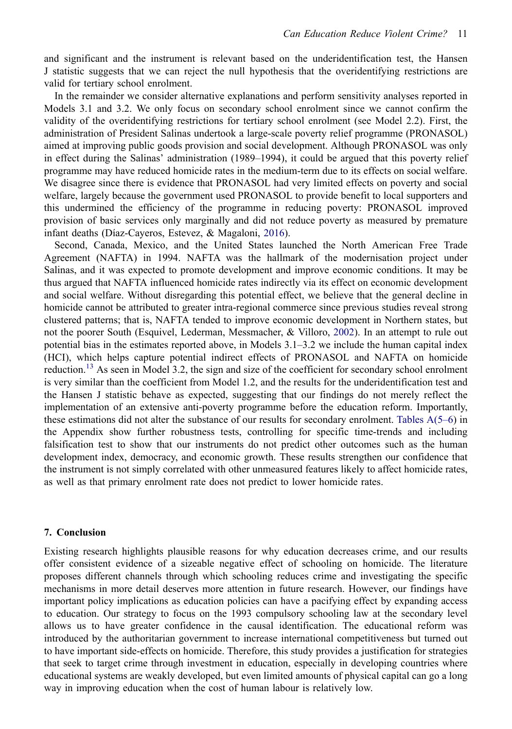and significant and the instrument is relevant based on the underidentification test, the Hansen J statistic suggests that we can reject the null hypothesis that the overidentifying restrictions are valid for tertiary school enrolment.

In the remainder we consider alternative explanations and perform sensitivity analyses reported in Models 3.1 and 3.2. We only focus on secondary school enrolment since we cannot confirm the validity of the overidentifying restrictions for tertiary school enrolment (see Model 2.2). First, the administration of President Salinas undertook a large-scale poverty relief programme (PRONASOL) aimed at improving public goods provision and social development. Although PRONASOL was only in effect during the Salinas' administration (1989–1994), it could be argued that this poverty relief programme may have reduced homicide rates in the medium-term due to its effects on social welfare. We disagree since there is evidence that PRONASOL had very limited effects on poverty and social welfare, largely because the government used PRONASOL to provide benefit to local supporters and this undermined the efficiency of the programme in reducing poverty: PRONASOL improved provision of basic services only marginally and did not reduce poverty as measured by premature infant deaths (Díaz-Cayeros, Estevez, & Magaloni, [2016](#page-13-15)).

<span id="page-11-1"></span><span id="page-11-0"></span>Second, Canada, Mexico, and the United States launched the North American Free Trade Agreement (NAFTA) in 1994. NAFTA was the hallmark of the modernisation project under Salinas, and it was expected to promote development and improve economic conditions. It may be thus argued that NAFTA influenced homicide rates indirectly via its effect on economic development and social welfare. Without disregarding this potential effect, we believe that the general decline in homicide cannot be attributed to greater intra-regional commerce since previous studies reveal strong clustered patterns; that is, NAFTA tended to improve economic development in Northern states, but not the poorer South (Esquivel, Lederman, Messmacher, & Villoro, [2002](#page-13-16)). In an attempt to rule out potential bias in the estimates reported above, in Models 3.1–3.2 we include the human capital index (HCI), which helps capture potential indirect effects of PRONASOL and NAFTA on homicide reduction.<sup>[13](#page-12-12)</sup> As seen in Model 3.2, the sign and size of the coefficient for secondary school enrolment is very similar than the coefficient from Model 1.2, and the results for the underidentification test and the Hansen J statistic behave as expected, suggesting that our findings do not merely reflect the implementation of an extensive anti-poverty programme before the education reform. Importantly, these estimations did not alter the substance of our results for secondary enrolment. [Tables A\(5–6\)](#page-17-0) in the Appendix show further robustness tests, controlling for specific time-trends and including falsification test to show that our instruments do not predict other outcomes such as the human development index, democracy, and economic growth. These results strengthen our confidence that the instrument is not simply correlated with other unmeasured features likely to affect homicide rates, as well as that primary enrolment rate does not predict to lower homicide rates.

# **7. Conclusion**

Existing research highlights plausible reasons for why education decreases crime, and our results offer consistent evidence of a sizeable negative effect of schooling on homicide. The literature proposes different channels through which schooling reduces crime and investigating the specific mechanisms in more detail deserves more attention in future research. However, our findings have important policy implications as education policies can have a pacifying effect by expanding access to education. Our strategy to focus on the 1993 compulsory schooling law at the secondary level allows us to have greater confidence in the causal identification. The educational reform was introduced by the authoritarian government to increase international competitiveness but turned out to have important side-effects on homicide. Therefore, this study provides a justification for strategies that seek to target crime through investment in education, especially in developing countries where educational systems are weakly developed, but even limited amounts of physical capital can go a long way in improving education when the cost of human labour is relatively low.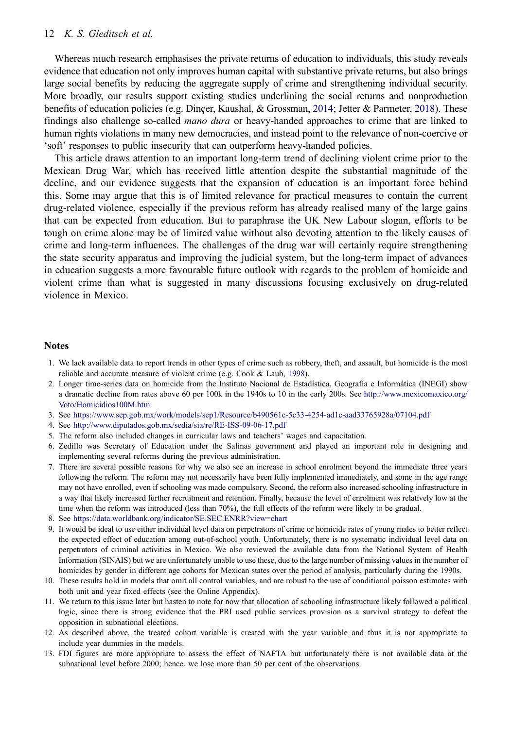#### 12 *K. S. Gleditsch et al.*

<span id="page-12-13"></span>Whereas much research emphasises the private returns of education to individuals, this study reveals evidence that education not only improves human capital with substantive private returns, but also brings large social benefits by reducing the aggregate supply of crime and strengthening individual security. More broadly, our results support existing studies underlining the social returns and nonproduction benefits of education policies (e.g. Dinçer, Kaushal, & Grossman, [2014](#page-13-17); Jetter & Parmeter, [2018](#page-14-22)). These findings also challenge so-called *mano dura* or heavy-handed approaches to crime that are linked to human rights violations in many new democracies, and instead point to the relevance of non-coercive or 'soft' responses to public insecurity that can outperform heavy-handed policies.

This article draws attention to an important long-term trend of declining violent crime prior to the Mexican Drug War, which has received little attention despite the substantial magnitude of the decline, and our evidence suggests that the expansion of education is an important force behind this. Some may argue that this is of limited relevance for practical measures to contain the current drug-related violence, especially if the previous reform has already realised many of the large gains that can be expected from education. But to paraphrase the UK New Labour slogan, efforts to be tough on crime alone may be of limited value without also devoting attention to the likely causes of crime and long-term influences. The challenges of the drug war will certainly require strengthening the state security apparatus and improving the judicial system, but the long-term impact of advances in education suggests a more favourable future outlook with regards to the problem of homicide and violent crime than what is suggested in many discussions focusing exclusively on drug-related violence in Mexico.

#### **Notes**

- <span id="page-12-0"></span>1. We lack available data to report trends in other types of crime such as robbery, theft, and assault, but homicide is the most reliable and accurate measure of violent crime (e.g. Cook & Laub, [1998\)](#page-13-12).
- <span id="page-12-1"></span>2. Longer time-series data on homicide from the Instituto Nacional de Estadística, Geografía e Informática (INEGI) show a dramatic decline from rates above 60 per 100k in the 1940s to 10 in the early 200s. See [http://www.mexicomaxico.org/](http://www.mexicomaxico.org/Voto/Homicidios100M.htm)  [Voto/Homicidios100M.htm](http://www.mexicomaxico.org/Voto/Homicidios100M.htm)
- <span id="page-12-2"></span>3. See <https://www.sep.gob.mx/work/models/sep1/Resource/b490561c-5c33-4254-ad1c-aad33765928a/07104.pdf>
- <span id="page-12-3"></span>4. See <http://www.diputados.gob.mx/sedia/sia/re/RE-ISS-09-06-17.pdf>
- <span id="page-12-4"></span>5. The reform also included changes in curricular laws and teachers' wages and capacitation.
- <span id="page-12-5"></span>6. Zedillo was Secretary of Education under the Salinas government and played an important role in designing and implementing several reforms during the previous administration.
- <span id="page-12-6"></span>7. There are several possible reasons for why we also see an increase in school enrolment beyond the immediate three years following the reform. The reform may not necessarily have been fully implemented immediately, and some in the age range may not have enrolled, even if schooling was made compulsory. Second, the reform also increased schooling infrastructure in a way that likely increased further recruitment and retention. Finally, because the level of enrolment was relatively low at the time when the reform was introduced (less than 70%), the full effects of the reform were likely to be gradual.
- <span id="page-12-7"></span>8. See <https://data.worldbank.org/indicator/SE.SEC.ENRR?view=chart>
- <span id="page-12-8"></span>9. It would be ideal to use either individual level data on perpetrators of crime or homicide rates of young males to better reflect the expected effect of education among out-of-school youth. Unfortunately, there is no systematic individual level data on perpetrators of criminal activities in Mexico. We also reviewed the available data from the National System of Health Information (SINAIS) but we are unfortunately unable to use these, due to the large number of missing values in the number of homicides by gender in different age cohorts for Mexican states over the period of analysis, particularly during the 1990s.
- <span id="page-12-9"></span>10. These results hold in models that omit all control variables, and are robust to the use of conditional poisson estimates with both unit and year fixed effects (see the Online Appendix).
- <span id="page-12-10"></span>11. We return to this issue later but hasten to note for now that allocation of schooling infrastructure likely followed a political logic, since there is strong evidence that the PRI used public services provision as a survival strategy to defeat the opposition in subnational elections.
- <span id="page-12-11"></span>12. As described above, the treated cohort variable is created with the year variable and thus it is not appropriate to include year dummies in the models.
- <span id="page-12-12"></span>13. FDI figures are more appropriate to assess the effect of NAFTA but unfortunately there is not available data at the subnational level before 2000; hence, we lose more than 50 per cent of the observations.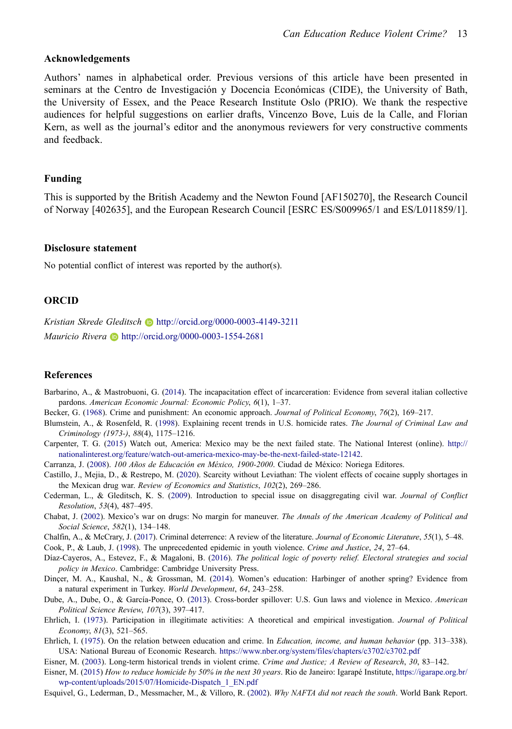# **Acknowledgements**

Authors' names in alphabetical order. Previous versions of this article have been presented in seminars at the Centro de Investigación y Docencia Económicas (CIDE), the University of Bath, the University of Essex, and the Peace Research Institute Oslo (PRIO). We thank the respective audiences for helpful suggestions on earlier drafts, Vincenzo Bove, Luis de la Calle, and Florian Kern, as well as the journal's editor and the anonymous reviewers for very constructive comments and feedback.

### **Funding**

This is supported by the British Academy and the Newton Found [AF150270], the Research Council of Norway [402635], and the European Research Council [ESRC ES/S009965/1 and ES/L011859/1].

## **Disclosure statement**

No potential conflict of interest was reported by the author(s).

# **ORCID**

*Kristian Skrede Gleditsch* http://orcid.org/0000-0003-4149-3211 *Mauricio Rivera* http://orcid.org/0000-0003-1554-2681

# **References**

- <span id="page-13-10"></span>Barbarino, A., & Mastrobuoni, G. ([2014\)](#page-6-0). The incapacitation effect of incarceration: Evidence from several italian collective pardons. *American Economic Journal: Economic Policy*, *6*(1), 1–37.
- <span id="page-13-8"></span>Becker, G. ([1968\)](#page-6-1). Crime and punishment: An economic approach. *Journal of Political Economy*, *76*(2), 169–217.
- <span id="page-13-11"></span>Blumstein, A., & Rosenfeld, R. ([1998\)](#page-7-0). Explaining recent trends in U.S. homicide rates. *The Journal of Criminal Law and Criminology (1973-)*, *88*(4), 1175–1216.
- <span id="page-13-3"></span>Carpenter, T. G. [\(2015](#page-3-1)) Watch out, America: Mexico may be the next failed state. The National Interest (online). [http://](http://nationalinterest.org/feature/watch-out-america-mexico-may-be-the-next-failed-state-12142)  [nationalinterest.org/feature/watch-out-america-mexico-may-be-the-next-failed-state-12142.](http://nationalinterest.org/feature/watch-out-america-mexico-may-be-the-next-failed-state-12142)
- <span id="page-13-7"></span>Carranza, J. [\(2008](#page-4-0)). *100 Años de Educación en México, 1900-2000*. Ciudad de México: Noriega Editores.
- <span id="page-13-13"></span>Castillo, J., Mejia, D., & Restrepo, M. ([2020\)](#page-7-1). Scarcity without Leviathan: The violent effects of cocaine supply shortages in the Mexican drug war. *Review of Economics and Statistics*, *102*(2), 269–286.
- <span id="page-13-4"></span>Cederman, L., & Gleditsch, K. S. ([2009\)](#page-3-2). Introduction to special issue on disaggregating civil war. *Journal of Conflict Resolution*, *53*(4), 487–495.
- <span id="page-13-5"></span>Chabat, J. ([2002\)](#page-3-3). Mexico's war on drugs: No margin for maneuver. *The Annals of the American Academy of Political and Social Science*, *582*(1), 134–148.
- <span id="page-13-6"></span>Chalfin, A., & McCrary, J. ([2017](#page-3-4)). Criminal deterrence: A review of the literature. *Journal of Economic Literature*, *55*(1), 5–48.

<span id="page-13-12"></span>Cook, P., & Laub, J. [\(1998](#page-7-0)). The unprecedented epidemic in youth violence. *Crime and Justice*, *24*, 27–64.

- <span id="page-13-15"></span>Díaz-Cayeros, A., Estevez, F., & Magaloni, B. ([2016\)](#page-11-0). *The political logic of poverty relief. Electoral strategies and social policy in Mexico*. Cambridge: Cambridge University Press.
- <span id="page-13-17"></span>Dinçer, M. A., Kaushal, N., & Grossman, M. ([2014\)](#page-12-13). Women's education: Harbinger of another spring? Evidence from a natural experiment in Turkey. *World Development*, *64*, 243–258.
- <span id="page-13-14"></span>Dube, A., Dube, O., & García-Ponce, O. ([2013\)](#page-7-2). Cross-border spillover: U.S. Gun laws and violence in Mexico. *American Political Science Review*, *107*(3), 397–417.
- <span id="page-13-9"></span>Ehrlich, I. ([1973](#page-6-2)). Participation in illegitimate activities: A theoretical and empirical investigation. *Journal of Political Economy*, *81*(3), 521–565.
- <span id="page-13-0"></span>Ehrlich, I. ([1975\)](#page-1-2). On the relation between education and crime. In *Education, income, and human behavior* (pp. 313–338). USA: National Bureau of Economic Research. <https://www.nber.org/system/files/chapters/c3702/c3702.pdf>

<span id="page-13-2"></span>Eisner, M. ([2003\)](#page-2-0). Long-term historical trends in violent crime. *Crime and Justice; A Review of Research*, *30*, 83–142.

- <span id="page-13-1"></span>Eisner, M. ([2015\)](#page-2-1) *How to reduce homicide by 50% in the next 30 years*. Rio de Janeiro: Igarapé Institute, [https://igarape.org.br/](https://igarape.org.br/wp-content/uploads/2015/07/Homicide-Dispatch_1_EN.pdf)  [wp-content/uploads/2015/07/Homicide-Dispatch\\_1\\_EN.pdf](https://igarape.org.br/wp-content/uploads/2015/07/Homicide-Dispatch_1_EN.pdf)
- <span id="page-13-16"></span>Esquivel, G., Lederman, D., Messmacher, M., & Villoro, R. [\(2002](#page-11-1)). *Why NAFTA did not reach the south*. World Bank Report.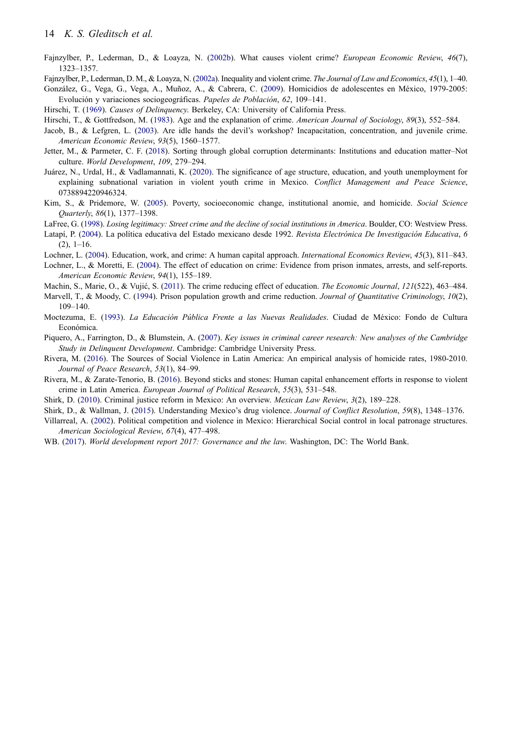- <span id="page-14-9"></span>Fajnzylber, P., Lederman, D., & Loayza, N. [\(2002b](#page-2-2)). What causes violent crime? *European Economic Review*, *46*(7), 1323–1357.
- <span id="page-14-7"></span>Fajnzylber, P., Lederman, D. M., & Loayza, N. [\(2002a](#page-2-3)). Inequality and violent crime. *The Journal of Law and Economics*, *45*(1), 1–40.
- <span id="page-14-21"></span>González, G., Vega, G., Vega, A., Muñoz, A., & Cabrera, C. [\(2009](#page-7-3)). Homicidios de adolescentes en México, 1979-2005: Evolución y variaciones sociogeográficas. *Papeles de Población*, *62*, 109–141.
- <span id="page-14-2"></span>Hirschi, T. [\(1969](#page-2-4)). *Causes of Delinquency*. Berkeley, CA: University of California Press.
- <span id="page-14-19"></span>Hirschi, T., & Gottfredson, M. ([1983\)](#page-7-4). Age and the explanation of crime. *American Journal of Sociology*, *89*(3), 552–584.
- <span id="page-14-3"></span>Jacob, B., & Lefgren, L. ([2003\)](#page-2-5). Are idle hands the devil's workshop? Incapacitation, concentration, and juvenile crime. *American Economic Review*, *93*(5), 1560–1577.
- <span id="page-14-22"></span>Jetter, M., & Parmeter, C. F. [\(2018](#page-12-13)). Sorting through global corruption determinants: Institutions and education matter–Not culture. *World Development*, *109*, 279–294.
- <span id="page-14-6"></span>Juárez, N., Urdal, H., & Vadlamannati, K. [\(2020\)](#page-2-6). The significance of age structure, education, and youth unemployment for explaining subnational variation in violent youth crime in Mexico. *Conflict Management and Peace Science*, 0738894220946324.
- <span id="page-14-10"></span>Kim, S., & Pridemore, W. [\(2005](#page-2-2)). Poverty, socioeconomic change, institutional anomie, and homicide. *Social Science Quarterly*, *86*(1), 1377–1398.
- <span id="page-14-18"></span>LaFree, G. ([1998](#page-6-3)). *Losing legitimacy: Street crime and the decline of social institutions in America*. Boulder, CO: Westview Press.
- <span id="page-14-16"></span>Latapí, P. ([2004\)](#page-5-1). La política educativa del Estado mexicano desde 1992. *Revista Electrónica De Investigación Educativa*, *6*   $(2), 1-16.$
- <span id="page-14-1"></span>Lochner, L. ([2004\)](#page-1-2). Education, work, and crime: A human capital approach. *International Economics Review*, *45*(3), 811–843.
- <span id="page-14-4"></span>Lochner, L., & Moretti, E. ([2004\)](#page-2-5). The effect of education on crime: Evidence from prison inmates, arrests, and self-reports. *American Economic Review*, *94*(1), 155–189.
- <span id="page-14-5"></span>Machin, S., Marie, O., & Vujić, S. [\(2011\)](#page-2-5). The crime reducing effect of education. *The Economic Journal*, *121*(522), 463–484.
- <span id="page-14-17"></span>Marvell, T., & Moody, C. [\(1994](#page-6-0)). Prison population growth and crime reduction. *Journal of Quantitative Criminology*, *10*(2), 109–140.
- <span id="page-14-15"></span>Moctezuma, E. [\(1993](#page-4-1)). *La Educación Pública Frente a las Nuevas Realidades*. Ciudad de México: Fondo de Cultura Económica.
- <span id="page-14-20"></span>Piquero, A., Farrington, D., & Blumstein, A. ([2007\)](#page-7-5). *Key issues in criminal career research: New analyses of the Cambridge Study in Delinquent Development*. Cambridge: Cambridge University Press.
- <span id="page-14-8"></span>Rivera, M. ([2016\)](#page-2-3). The Sources of Social Violence in Latin America: An empirical analysis of homicide rates, 1980-2010. *Journal of Peace Research*, *53*(1), 84–99.
- <span id="page-14-11"></span>Rivera, M., & Zarate-Tenorio, B. ([2016\)](#page-2-1). Beyond sticks and stones: Human capital enhancement efforts in response to violent crime in Latin America. *European Journal of Political Research*, *55*(3), 531–548.
- <span id="page-14-14"></span><span id="page-14-12"></span>Shirk, D. ([2010\)](#page-3-5). Criminal justice reform in Mexico: An overview. *Mexican Law Review*, *3*(2), 189–228.
- Shirk, D., & Wallman, J. ([2015\)](#page-2-7). Understanding Mexico's drug violence. *Journal of Conflict Resolution*, *59*(8), 1348–1376.
- <span id="page-14-13"></span>Villarreal, A. [\(2002\)](#page-3-6). Political competition and violence in Mexico: Hierarchical Social control in local patronage structures. *American Sociological Review*, *67*(4), 477–498.
- <span id="page-14-0"></span>WB. ([2017\)](#page-1-3). *World development report 2017: Governance and the law*. Washington, DC: The World Bank.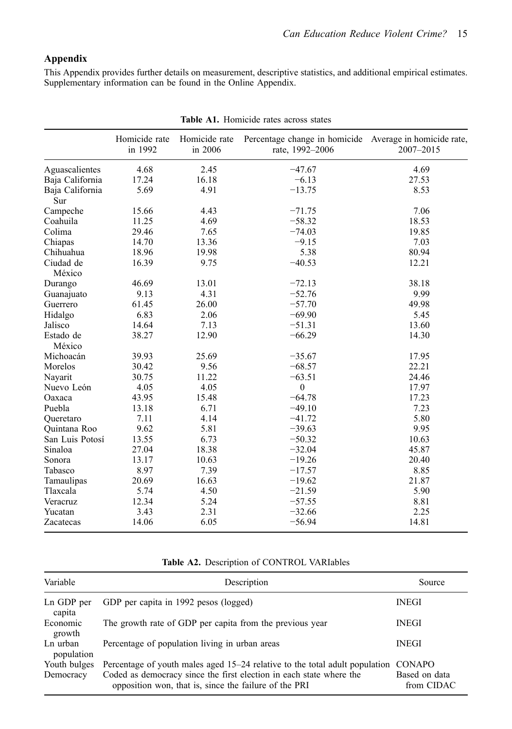# **Appendix**

This Appendix provides further details on measurement, descriptive statistics, and additional empirical estimates. Supplementary information can be found in the Online Appendix.

<span id="page-15-0"></span>

|                        | Homicide rate<br>in 1992 | Homicide rate<br>in 2006 | Percentage change in homicide Average in homicide rate,<br>rate, 1992-2006 | 2007-2015 |
|------------------------|--------------------------|--------------------------|----------------------------------------------------------------------------|-----------|
| Aguascalientes         | 4.68                     | 2.45                     | $-47.67$                                                                   | 4.69      |
| Baja California        | 17.24                    | 16.18                    | $-6.13$                                                                    | 27.53     |
| Baja California<br>Sur | 5.69                     | 4.91                     | $-13.75$                                                                   | 8.53      |
| Campeche               | 15.66                    | 4.43                     | $-71.75$                                                                   | 7.06      |
| Coahuila               | 11.25                    | 4.69                     | $-58.32$                                                                   | 18.53     |
| Colima                 | 29.46                    | 7.65                     | $-74.03$                                                                   | 19.85     |
| Chiapas                | 14.70                    | 13.36                    | $-9.15$                                                                    | 7.03      |
| Chihuahua              | 18.96                    | 19.98                    | 5.38                                                                       | 80.94     |
| Ciudad de<br>México    | 16.39                    | 9.75                     | $-40.53$                                                                   | 12.21     |
| Durango                | 46.69                    | 13.01                    | $-72.13$                                                                   | 38.18     |
| Guanajuato             | 9.13                     | 4.31                     | $-52.76$                                                                   | 9.99      |
| Guerrero               | 61.45                    | 26.00                    | $-57.70$                                                                   | 49.98     |
| Hidalgo                | 6.83                     | 2.06                     | $-69.90$                                                                   | 5.45      |
| Jalisco                | 14.64                    | 7.13                     | $-51.31$                                                                   | 13.60     |
| Estado de<br>México    | 38.27                    | 12.90                    | $-66.29$                                                                   | 14.30     |
| Michoacán              | 39.93                    | 25.69                    | $-35.67$                                                                   | 17.95     |
| Morelos                | 30.42                    | 9.56                     | $-68.57$                                                                   | 22.21     |
| Nayarit                | 30.75                    | 11.22                    | $-63.51$                                                                   | 24.46     |
| Nuevo León             | 4.05                     | 4.05                     | $\mathbf{0}$                                                               | 17.97     |
| Oaxaca                 | 43.95                    | 15.48                    | $-64.78$                                                                   | 17.23     |
| Puebla                 | 13.18                    | 6.71                     | $-49.10$                                                                   | 7.23      |
| Queretaro              | 7.11                     | 4.14                     | $-41.72$                                                                   | 5.80      |
| Quintana Roo           | 9.62                     | 5.81                     | $-39.63$                                                                   | 9.95      |
| San Luis Potosí        | 13.55                    | 6.73                     | $-50.32$                                                                   | 10.63     |
| Sinaloa                | 27.04                    | 18.38                    | $-32.04$                                                                   | 45.87     |
| Sonora                 | 13.17                    | 10.63                    | $-19.26$                                                                   | 20.40     |
| Tabasco                | 8.97                     | 7.39                     | $-17.57$                                                                   | 8.85      |
| Tamaulipas             | 20.69                    | 16.63                    | $-19.62$                                                                   | 21.87     |
| Tlaxcala               | 5.74                     | 4.50                     | $-21.59$                                                                   | 5.90      |
| Veracruz               | 12.34                    | 5.24                     | $-57.55$                                                                   | 8.81      |
| Yucatan                | 3.43                     | 2.31                     | $-32.66$                                                                   | 2.25      |
| Zacatecas              | 14.06                    | 6.05                     | $-56.94$                                                                   | 14.81     |

**Table A1.** Homicide rates across states

# **Table A2.** Description of CONTROL VARIables

<span id="page-15-1"></span>

| Variable                  | Description                                                                                                                                                                                                 | Source                                       |
|---------------------------|-------------------------------------------------------------------------------------------------------------------------------------------------------------------------------------------------------------|----------------------------------------------|
| Ln GDP per<br>capita      | GDP per capita in 1992 pesos (logged)                                                                                                                                                                       | <b>INEGI</b>                                 |
| Economic<br>growth        | The growth rate of GDP per capita from the previous year                                                                                                                                                    | <b>INEGI</b>                                 |
| Ln urban<br>population    | Percentage of population living in urban areas                                                                                                                                                              | <b>INEGI</b>                                 |
| Youth bulges<br>Democracy | Percentage of youth males aged 15–24 relative to the total adult population<br>Coded as democracy since the first election in each state where the<br>opposition won, that is, since the failure of the PRI | <b>CONAPO</b><br>Based on data<br>from CIDAC |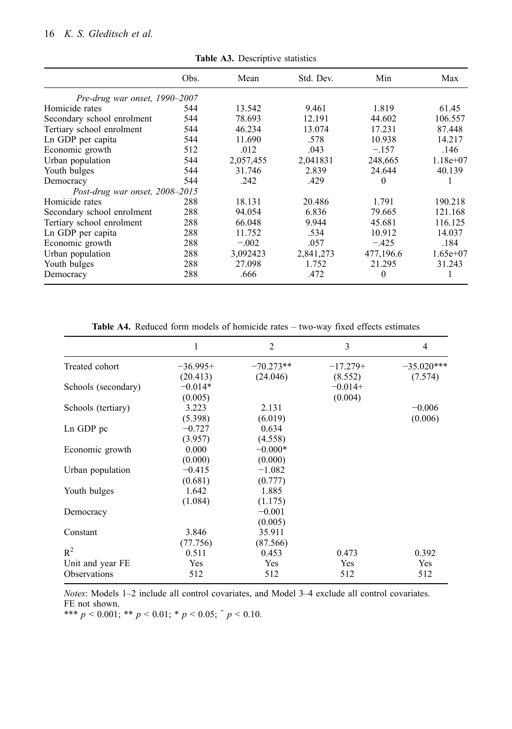# 16 *K. S. Gleditsch et al.*

|                                | Obs. | Mean      | Std. Dev. | Min       | Max        |
|--------------------------------|------|-----------|-----------|-----------|------------|
| Pre-drug war onset, 1990–2007  |      |           |           |           |            |
| Homicide rates                 | 544  | 13.542    | 9.461     | 1.819     | 61.45      |
| Secondary school enrolment     | 544  | 78.693    | 12.191    | 44.602    | 106.557    |
| Tertiary school enrolment      | 544  | 46.234    | 13.074    | 17.231    | 87.448     |
| Ln GDP per capita              | 544  | 11.690    | .578      | 10.938    | 14.217     |
| Economic growth                | 512  | .012      | .043      | $-.157$   | .146       |
| Urban population               | 544  | 2,057,455 | 2,041831  | 248,665   | $1.18e+07$ |
| Youth bulges                   | 544  | 31.746    | 2.839     | 24.644    | 40.139     |
| Democracy                      | 544  | .242      | .429      | 0         |            |
| Post-drug war onset, 2008-2015 |      |           |           |           |            |
| Homicide rates                 | 288  | 18.131    | 20.486    | 1.791     | 190.218    |
| Secondary school enrolment     | 288  | 94.054    | 6.836     | 79.665    | 121.168    |
| Tertiary school enrolment      | 288  | 66.048    | 9.944     | 45.681    | 116.125    |
| Ln GDP per capita              | 288  | 11.752    | .534      | 10.912    | 14.037     |
| Economic growth                | 288  | $-.002$   | .057      | $-.425$   | .184       |
| Urban population               | 288  | 3,092423  | 2,841,273 | 477,196.6 | $1.65e+07$ |
| Youth bulges                   | 288  | 27.098    | 1.752     | 21.295    | 31.243     |
| Democracy                      | 288  | .666      | .472      | $\theta$  | Ι.         |

**Table A3.** Descriptive statistics

**Table A4.** Reduced form models of homicide rates – two-way fixed effects estimates

<span id="page-16-0"></span>

|                     | 1          | $\overline{2}$ | 3          | $\overline{4}$ |
|---------------------|------------|----------------|------------|----------------|
| Treated cohort      | $-36.995+$ | $-70.273**$    | $-17.279+$ | $-35.020***$   |
|                     | (20.413)   | (24.046)       | (8.552)    | (7.574)        |
| Schools (secondary) | $-0.014*$  |                | $-0.014+$  |                |
|                     | (0.005)    |                | (0.004)    |                |
| Schools (tertiary)  | 3.223      | 2.131          |            | $-0.006$       |
|                     | (5.398)    | (6.019)        |            | (0.006)        |
| Ln GDP pc           | $-0.727$   | 0.634          |            |                |
|                     | (3.957)    | (4.558)        |            |                |
| Economic growth     | 0.000      | $-0.000*$      |            |                |
|                     | (0.000)    | (0.000)        |            |                |
| Urban population    | $-0.415$   | $-1.082$       |            |                |
|                     | (0.681)    | (0.777)        |            |                |
| Youth bulges        | 1.642      | 1.885          |            |                |
|                     | (1.084)    | (1.175)        |            |                |
| Democracy           |            | $-0.001$       |            |                |
|                     |            | (0.005)        |            |                |
| Constant            | 3.846      | 35.911         |            |                |
|                     | (77.756)   | (87.566)       |            |                |
| $R^2$               | 0.511      | 0.453          | 0.473      | 0.392          |
| Unit and year FE    | Yes        | Yes            | Yes        | Yes            |
| <b>Observations</b> | 512        | 512            | 512        | 512            |
|                     |            |                |            |                |

*Notes*: Models 1–2 include all control covariates, and Model 3–4 exclude all control covariates. FE not shown.<br>\*\*\* *p* < 0.001; \*\* *p* < 0.01; \* *p* < 0.05;  $^+$  *p* < 0.10.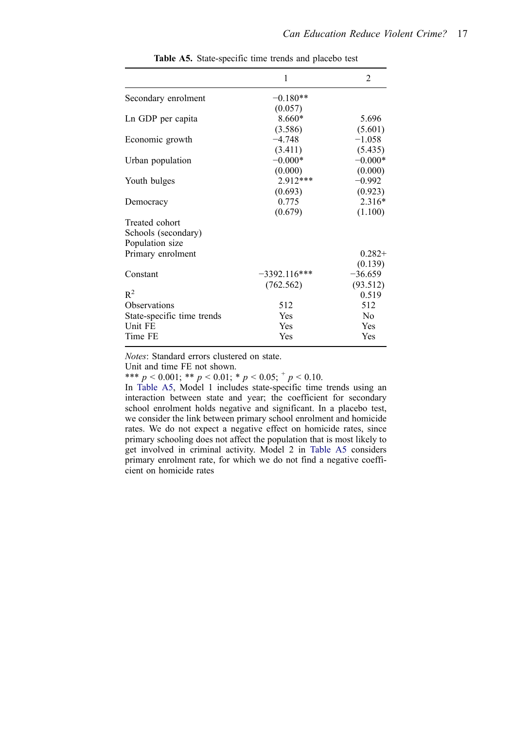<span id="page-17-0"></span>

|                            | 1              | $\overline{2}$ |
|----------------------------|----------------|----------------|
| Secondary enrolment        | $-0.180**$     |                |
|                            | (0.057)        |                |
| Ln GDP per capita          | $8.660*$       | 5.696          |
|                            | (3.586)        | (5.601)        |
| Economic growth            | $-4.748$       | $-1.058$       |
|                            | (3.411)        | (5.435)        |
| Urban population           | $-0.000*$      | $-0.000*$      |
|                            | (0.000)        | (0.000)        |
| Youth bulges               | 2.912***       | $-0.992$       |
|                            | (0.693)        | (0.923)        |
| Democracy                  | 0.775          | 2.316*         |
|                            | (0.679)        | (1.100)        |
| Treated cohort             |                |                |
| Schools (secondary)        |                |                |
| Population size            |                |                |
| Primary enrolment          |                | $0.282+$       |
|                            |                | (0.139)        |
| Constant                   | $-3392.116***$ | $-36.659$      |
|                            | (762.562)      | (93.512)       |
| $R^2$                      |                | 0.519          |
| Observations               | 512            | 512            |
| State-specific time trends | Yes            | N <sub>0</sub> |
| Unit FE                    | Yes            | Yes            |
| Time FE                    | Yes            | Yes            |

**Table A5.** State-specific time trends and placebo test

*Notes*: Standard errors clustered on state.

Unit and time FE not shown.

\*\*\* *p* < 0.001; \*\* *p* < 0.01; \* *p* < 0.05;  $^{+}$  *p* < 0.10.

In [Table A5,](#page-17-0) Model 1 includes state-specific time trends using an interaction between state and year; the coefficient for secondary school enrolment holds negative and significant. In a placebo test, we consider the link between primary school enrolment and homicide rates. We do not expect a negative effect on homicide rates, since primary schooling does not affect the population that is most likely to get involved in criminal activity. Model 2 in [Table A5](#page-17-0) considers primary enrolment rate, for which we do not find a negative coefficient on homicide rates